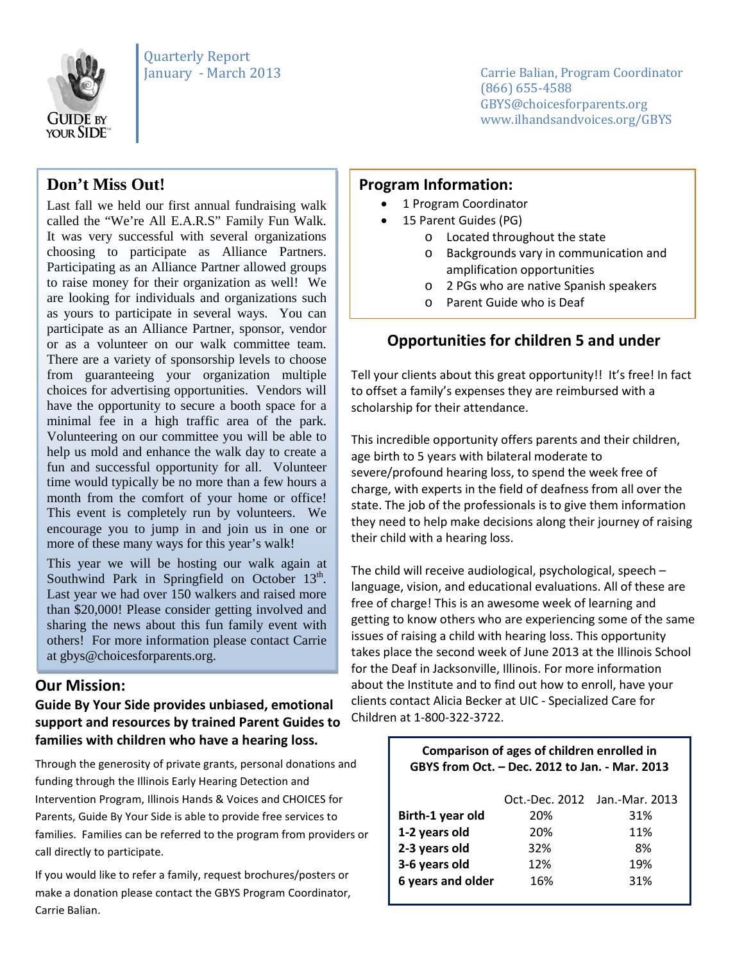

Carrie Balian, Program Coordinator (866) 655-4588 GBYS@choicesforparents.org www.ilhandsandvoices.org/GBYS

# **Don't Miss Out!**

 called the "We're All E.A.R.S" Family Fun Walk. Last fall we held our first annual fundraising walk It was very successful with several organizations choosing to participate as Alliance Partners. Participating as an Alliance Partner allowed groups to raise money for their organization as well! We are looking for individuals and organizations such as yours to participate in several ways. You can participate as an Alliance Partner, sponsor, vendor or as a volunteer on our walk committee team. There are a variety of sponsorship levels to choose from guaranteeing your organization multiple choices for advertising opportunities. Vendors will have the opportunity to secure a booth space for a minimal fee in a high traffic area of the park. Volunteering on our committee you will be able to help us mold and enhance the walk day to create a fun and successful opportunity for all. Volunteer time would typically be no more than a few hours a month from the comfort of your home or office! This event is completely run by volunteers. We encourage you to jump in and join us in one or more of these many ways for this year's walk!

This year we will be hosting our walk again at Southwind Park in Springfield on October  $13<sup>th</sup>$ . Last year we had over 150 walkers and raised more than \$20,000! Please consider getting involved and sharing the news about this fun family event with others! For more information please contact Carrie at gbys@choicesforparents.org.

#### **Our Mission:** l

#### **Guide By Your Side provides unbiased, emotional support and resources by trained Parent Guides to families with children who have a hearing loss.**

Through the generosity of private grants, personal donations and funding through the Illinois Early Hearing Detection and Intervention Program, Illinois Hands & Voices and CHOICES for Parents, Guide By Your Side is able to provide free services to families. Families can be referred to the program from providers or call directly to participate.

If you would like to refer a family, request brochures/posters or make a donation please contact the GBYS Program Coordinator, Carrie Balian.

### **Program Information:**

- 1 Program Coordinator
- 15 Parent Guides (PG)
	- o Located throughout the state
	- o Backgrounds vary in communication and amplification opportunities
	- o 2 PGs who are native Spanish speakers
	- o Parent Guide who is Deaf

### **Opportunities for children 5 and under**

Tell your clients about this great opportunity!! It's free! In fact to offset a family's expenses they are reimbursed with a scholarship for their attendance.

This incredible opportunity offers parents and their children, age birth to 5 years with bilateral moderate to severe/profound hearing loss, to spend the week free of charge, with experts in the field of deafness from all over the state. The job of the professionals is to give them information they need to help make decisions along their journey of raising their child with a hearing loss.

The child will receive audiological, psychological, speech – language, vision, and educational evaluations. All of these are free of charge! This is an awesome week of learning and getting to know others who are experiencing some of the same issues of raising a child with hearing loss. This opportunity takes place the second week of June 2013 at the Illinois School for the Deaf in Jacksonville, Illinois. For more information about the Institute and to find out how to enroll, have your clients contact Alicia Becker at UIC - Specialized Care for Children at 1-800-322-3722.

| Comparison of ages of children enrolled in<br>GBYS from Oct. - Dec. 2012 to Jan. - Mar. 2013 |     |                               |
|----------------------------------------------------------------------------------------------|-----|-------------------------------|
|                                                                                              |     | Oct.-Dec. 2012 Jan.-Mar. 2013 |
| Birth-1 year old                                                                             | 20% | 31%                           |
| 1-2 years old                                                                                | 20% | 11%                           |
| 2-3 years old                                                                                | 32% | 8%                            |
| 3-6 years old                                                                                | 12% | 19%                           |
| 6 years and older                                                                            | 16% | 31%                           |
|                                                                                              |     |                               |